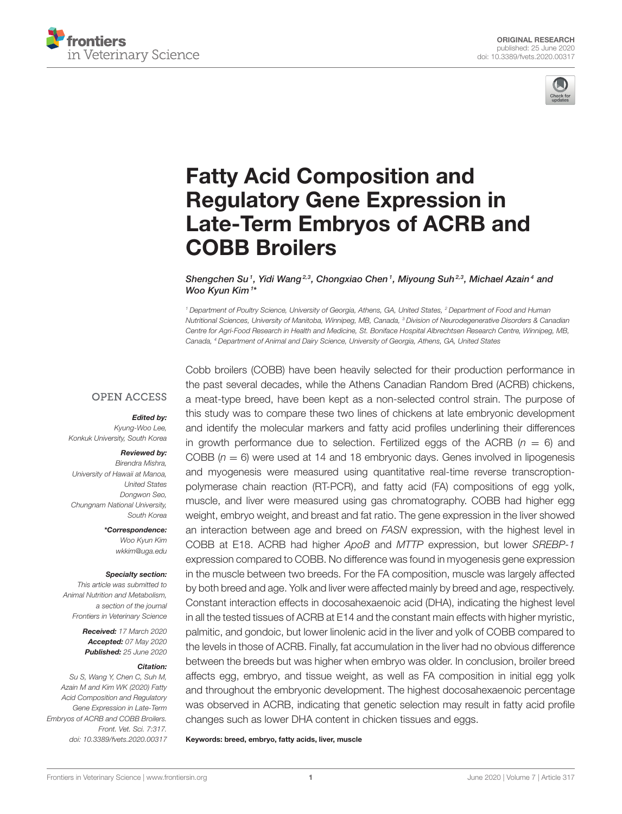



# Fatty Acid Composition and Regulatory Gene Expression in [Late-Term Embryos of ACRB and](https://www.frontiersin.org/articles/10.3389/fvets.2020.00317/full) COBB Broilers

Shengchen Su<sup>1</sup>, [Yidi Wang](http://loop.frontiersin.org/people/958287/overview)<sup>2,3</sup>, [Chongxiao Chen](http://loop.frontiersin.org/people/668054/overview)<sup>1</sup>, [Miyoung Suh](http://loop.frontiersin.org/people/291957/overview)<sup>2,3</sup>, [Michael Azain](http://loop.frontiersin.org/people/958335/overview)<sup>4</sup> and [Woo Kyun Kim](http://loop.frontiersin.org/people/407042/overview) <sup>1\*</sup>

<sup>1</sup> Department of Poultry Science, University of Georgia, Athens, GA, United States, <sup>2</sup> Department of Food and Human Nutritional Sciences, University of Manitoba, Winnipeg, MB, Canada, <sup>3</sup> Division of Neurodegenerative Disorders & Canadian Centre for Agri-Food Research in Health and Medicine, St. Boniface Hospital Albrechtsen Research Centre, Winnipeg, MB, Canada, <sup>4</sup> Department of Animal and Dairy Science, University of Georgia, Athens, GA, United States

## **OPEN ACCESS**

#### Edited by:

Kyung-Woo Lee, Konkuk University, South Korea

#### Reviewed by:

Birendra Mishra, University of Hawaii at Manoa, United States Dongwon Seo, Chungnam National University, South Korea

> \*Correspondence: Woo Kyun Kim [wkkim@uga.edu](mailto:wkkim@uga.edu)

#### Specialty section:

This article was submitted to Animal Nutrition and Metabolism, a section of the journal Frontiers in Veterinary Science

> Received: 17 March 2020 Accepted: 07 May 2020 Published: 25 June 2020

#### Citation:

Su S, Wang Y, Chen C, Suh M, Azain M and Kim WK (2020) Fatty Acid Composition and Regulatory Gene Expression in Late-Term Embryos of ACRB and COBB Broilers. Front. Vet. Sci. 7:317. doi: [10.3389/fvets.2020.00317](https://doi.org/10.3389/fvets.2020.00317) Cobb broilers (COBB) have been heavily selected for their production performance in the past several decades, while the Athens Canadian Random Bred (ACRB) chickens, a meat-type breed, have been kept as a non-selected control strain. The purpose of this study was to compare these two lines of chickens at late embryonic development and identify the molecular markers and fatty acid profiles underlining their differences in growth performance due to selection. Fertilized eggs of the ACRB ( $n = 6$ ) and COBB  $(n = 6)$  were used at 14 and 18 embryonic days. Genes involved in lipogenesis and myogenesis were measured using quantitative real-time reverse transcroptionpolymerase chain reaction (RT-PCR), and fatty acid (FA) compositions of egg yolk, muscle, and liver were measured using gas chromatography. COBB had higher egg weight, embryo weight, and breast and fat ratio. The gene expression in the liver showed an interaction between age and breed on FASN expression, with the highest level in COBB at E18. ACRB had higher ApoB and MTTP expression, but lower SREBP-1 expression compared to COBB. No difference was found in myogenesis gene expression in the muscle between two breeds. For the FA composition, muscle was largely affected by both breed and age. Yolk and liver were affected mainly by breed and age, respectively. Constant interaction effects in docosahexaenoic acid (DHA), indicating the highest level in all the tested tissues of ACRB at E14 and the constant main effects with higher myristic, palmitic, and gondoic, but lower linolenic acid in the liver and yolk of COBB compared to the levels in those of ACRB. Finally, fat accumulation in the liver had no obvious difference between the breeds but was higher when embryo was older. In conclusion, broiler breed affects egg, embryo, and tissue weight, as well as FA composition in initial egg yolk and throughout the embryonic development. The highest docosahexaenoic percentage was observed in ACRB, indicating that genetic selection may result in fatty acid profile changes such as lower DHA content in chicken tissues and eggs.

Keywords: breed, embryo, fatty acids, liver, muscle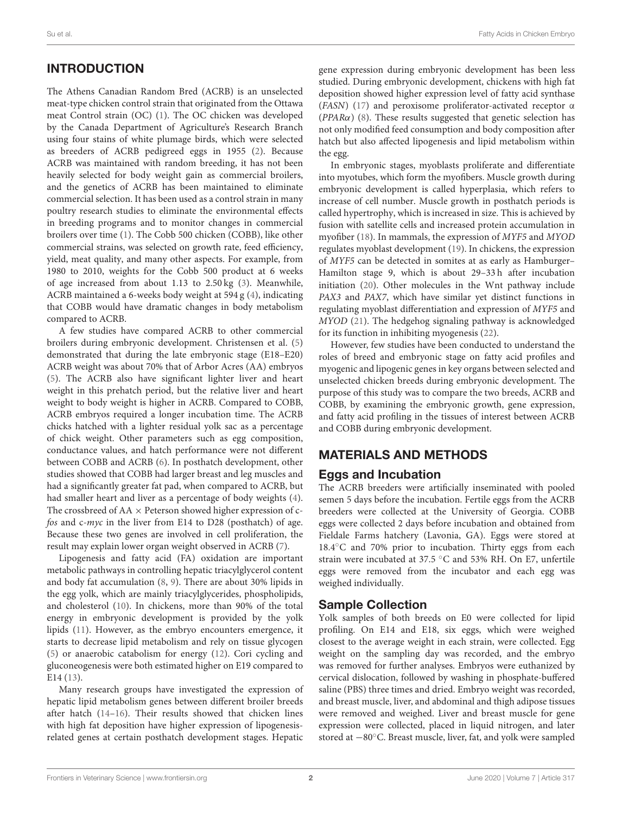# INTRODUCTION

The Athens Canadian Random Bred (ACRB) is an unselected meat-type chicken control strain that originated from the Ottawa meat Control strain (OC) [\(1\)](#page-9-0). The OC chicken was developed by the Canada Department of Agriculture's Research Branch using four stains of white plumage birds, which were selected as breeders of ACRB pedigreed eggs in 1955 [\(2\)](#page-9-1). Because ACRB was maintained with random breeding, it has not been heavily selected for body weight gain as commercial broilers, and the genetics of ACRB has been maintained to eliminate commercial selection. It has been used as a control strain in many poultry research studies to eliminate the environmental effects in breeding programs and to monitor changes in commercial broilers over time [\(1\)](#page-9-0). The Cobb 500 chicken (COBB), like other commercial strains, was selected on growth rate, feed efficiency, yield, meat quality, and many other aspects. For example, from 1980 to 2010, weights for the Cobb 500 product at 6 weeks of age increased from about 1.13 to 2.50 kg [\(3\)](#page-9-2). Meanwhile, ACRB maintained a 6-weeks body weight at 594 g [\(4\)](#page-9-3), indicating that COBB would have dramatic changes in body metabolism compared to ACRB.

A few studies have compared ACRB to other commercial broilers during embryonic development. Christensen et al. [\(5\)](#page-9-4) demonstrated that during the late embryonic stage (E18–E20) ACRB weight was about 70% that of Arbor Acres (AA) embryos [\(5\)](#page-9-4). The ACRB also have significant lighter liver and heart weight in this prehatch period, but the relative liver and heart weight to body weight is higher in ACRB. Compared to COBB, ACRB embryos required a longer incubation time. The ACRB chicks hatched with a lighter residual yolk sac as a percentage of chick weight. Other parameters such as egg composition, conductance values, and hatch performance were not different between COBB and ACRB [\(6\)](#page-9-5). In posthatch development, other studies showed that COBB had larger breast and leg muscles and had a significantly greater fat pad, when compared to ACRB, but had smaller heart and liver as a percentage of body weights [\(4\)](#page-9-3). The crossbreed of  $AA \times$  Peterson showed higher expression of cfos and c-myc in the liver from E14 to D28 (posthatch) of age. Because these two genes are involved in cell proliferation, the result may explain lower organ weight observed in ACRB [\(7\)](#page-9-6).

Lipogenesis and fatty acid (FA) oxidation are important metabolic pathways in controlling hepatic triacylglycerol content and body fat accumulation [\(8,](#page-9-7) [9\)](#page-9-8). There are about 30% lipids in the egg yolk, which are mainly triacylglycerides, phospholipids, and cholesterol [\(10\)](#page-9-9). In chickens, more than 90% of the total energy in embryonic development is provided by the yolk lipids [\(11\)](#page-9-10). However, as the embryo encounters emergence, it starts to decrease lipid metabolism and rely on tissue glycogen [\(5\)](#page-9-4) or anaerobic catabolism for energy [\(12\)](#page-9-11). Cori cycling and gluconeogenesis were both estimated higher on E19 compared to E14 [\(13\)](#page-9-12).

Many research groups have investigated the expression of hepatic lipid metabolism genes between different broiler breeds after hatch [\(14](#page-9-13)[–16\)](#page-10-0). Their results showed that chicken lines with high fat deposition have higher expression of lipogenesisrelated genes at certain posthatch development stages. Hepatic gene expression during embryonic development has been less studied. During embryonic development, chickens with high fat deposition showed higher expression level of fatty acid synthase (FASN) [\(17\)](#page-10-1) and peroxisome proliferator-activated receptor α ( $PPAR\alpha$ ) [\(8\)](#page-9-7). These results suggested that genetic selection has not only modified feed consumption and body composition after hatch but also affected lipogenesis and lipid metabolism within the egg.

In embryonic stages, myoblasts proliferate and differentiate into myotubes, which form the myofibers. Muscle growth during embryonic development is called hyperplasia, which refers to increase of cell number. Muscle growth in posthatch periods is called hypertrophy, which is increased in size. This is achieved by fusion with satellite cells and increased protein accumulation in myofiber [\(18\)](#page-10-2). In mammals, the expression of MYF5 and MYOD regulates myoblast development [\(19\)](#page-10-3). In chickens, the expression of MYF5 can be detected in somites at as early as Hamburger– Hamilton stage 9, which is about 29–33 h after incubation initiation [\(20\)](#page-10-4). Other molecules in the Wnt pathway include PAX3 and PAX7, which have similar yet distinct functions in regulating myoblast differentiation and expression of MYF5 and MYOD [\(21\)](#page-10-5). The hedgehog signaling pathway is acknowledged for its function in inhibiting myogenesis [\(22\)](#page-10-6).

However, few studies have been conducted to understand the roles of breed and embryonic stage on fatty acid profiles and myogenic and lipogenic genes in key organs between selected and unselected chicken breeds during embryonic development. The purpose of this study was to compare the two breeds, ACRB and COBB, by examining the embryonic growth, gene expression, and fatty acid profiling in the tissues of interest between ACRB and COBB during embryonic development.

# MATERIALS AND METHODS

# Eggs and Incubation

The ACRB breeders were artificially inseminated with pooled semen 5 days before the incubation. Fertile eggs from the ACRB breeders were collected at the University of Georgia. COBB eggs were collected 2 days before incubation and obtained from Fieldale Farms hatchery (Lavonia, GA). Eggs were stored at 18.4◦C and 70% prior to incubation. Thirty eggs from each strain were incubated at 37.5 ◦C and 53% RH. On E7, unfertile eggs were removed from the incubator and each egg was weighed individually.

## Sample Collection

Yolk samples of both breeds on E0 were collected for lipid profiling. On E14 and E18, six eggs, which were weighed closest to the average weight in each strain, were collected. Egg weight on the sampling day was recorded, and the embryo was removed for further analyses. Embryos were euthanized by cervical dislocation, followed by washing in phosphate-buffered saline (PBS) three times and dried. Embryo weight was recorded, and breast muscle, liver, and abdominal and thigh adipose tissues were removed and weighed. Liver and breast muscle for gene expression were collected, placed in liquid nitrogen, and later stored at −80◦C. Breast muscle, liver, fat, and yolk were sampled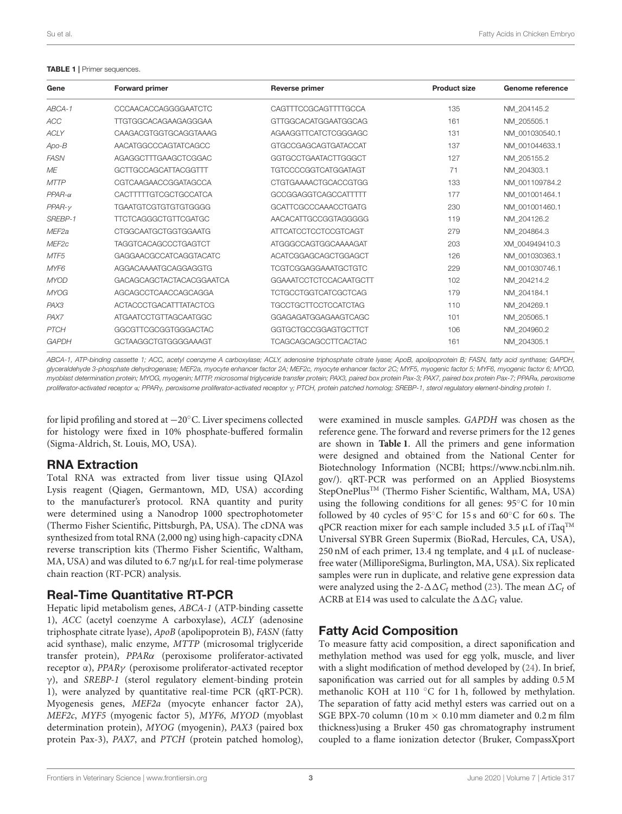#### <span id="page-2-0"></span>TABLE 1 | Primer sequences.

| Gene              | Forward primer                | <b>Reverse primer</b>         | <b>Product size</b> | Genome reference |
|-------------------|-------------------------------|-------------------------------|---------------------|------------------|
| ABCA-1            | <b>CCCAACACCAGGGGAATCTC</b>   | CAGTTTCCGCAGTTTTGCCA          | 135                 | NM 204145.2      |
| <b>ACC</b>        | <b>TTGTGGCACAGAAGAGGGAA</b>   | GTTGGCACATGGAATGGCAG          | 161                 | NM_205505.1      |
| <b>ACLY</b>       | CAAGACGTGGTGCAGGTAAAG         | AGAAGGTTCATCTCGGGAGC          | 131                 | NM 001030540.1   |
| $Apo-B$           | AACATGGCCCAGTATCAGCC          | <b>GTGCCGAGCAGTGATACCAT</b>   | 137                 | NM 001044633.1   |
| <b>FASN</b>       | AGAGGCTTTGAAGCTCGGAC          | GGTGCCTGAATACTTGGGCT          | 127                 | NM_205155.2      |
| ME                | <b>GCTTGCCAGCATTACGGTTT</b>   | <b>TGTCCCCGGTCATGGATAGT</b>   | 71                  | NM 204303.1      |
| <b>MTTP</b>       | CGTCAAGAACCGGATAGCCA          | CTGTGAAAACTGCACCGTGG          | 133                 | NM 001109784.2   |
| $PPAR-\alpha$     | <b>CACTTTTTGTCGCTGCCATCA</b>  | GCCGGAGGTCAGCCATTTT           | 177                 | NM 001001464.1   |
| $PPAR-V$          | <b>TGAATGTCGTGTGTGTGGGGG</b>  | GCATTCGCCCAAACCTGATG          | 230                 | NM 001001460.1   |
| SREBP-1           | <b>TTCTCAGGGCTGTTCGATGC</b>   | AACACATTGCCGGTAGGGGG          | 119                 | NM_204126.2      |
| MEF <sub>2a</sub> | <b>CTGGCAATGCTGGTGGAATG</b>   | <b>ATTCATCCTCCTCCGTCAGT</b>   | 279                 | NM 204864.3      |
| MEF <sub>2c</sub> | <b>TAGGTCACAGCCCTGAGTCT</b>   | ATGGGCCAGTGGCAAAAGAT          | 203                 | XM 004949410.3   |
| MTF <sub>5</sub>  | GAGGAACGCCATCAGGTACATC        | ACATCGGAGCAGCTGGAGCT          | 126                 | NM_001030363.1   |
| MYF <sub>6</sub>  | AGGACAAAATGCAGGAGGTG          | <b>TCGTCGGAGGAAATGCTGTC</b>   | 229                 | NM 001030746.1   |
| <b>MYOD</b>       | GACAGCAGCTACTACACGGAATCA      | <b>GGAAATCCTCTCCACAATGCTT</b> | 102                 | NM 204214.2      |
| <b>MYOG</b>       | AGCAGCCTCAACCAGCAGGA          | <b>TCTGCCTGGTCATCGCTCAG</b>   | 179                 | NM 204184.1      |
| PAX3              | <b>ACTACCCTGACATTTATACTCG</b> | <b>TGCCTGCTTCCTCCATCTAG</b>   | 110                 | NM 204269.1      |
| PAX7              | ATGAATCCTGTTAGCAATGGC         | GGAGAGATGGAGAAGTCAGC          | 101                 | NM_205065.1      |
| <b>PTCH</b>       | <b>GGCGTTCGCGGTGGGACTAC</b>   | GGTGCTGCCGGAGTGCTTCT          | 106                 | NM_204960.2      |
| <b>GAPDH</b>      | GCTAAGGCTGTGGGGAAAGT          | <b>TCAGCAGCAGCCTTCACTAC</b>   | 161                 | NM 204305.1      |

ABCA-1, ATP-binding cassette 1; ACC, acetyl coenzyme A carboxylase; ACLY, adenosine triphosphate citrate lyase; ApoB, apolipoprotein B; FASN, fatty acid synthase; GAPDH, glyceraldehyde 3-phosphate dehydrogenase; MEF2a, myocyte enhancer factor 2A; MEF2c, myocyte enhancer factor 2C; MYF5, myogenic factor 5; MYF6, myogenic factor 6; MYOD, myoblast determination protein; MYOG, myogenin; MTTP, microsomal triglyceride transfer protein; PAX3, paired box protein Pax-3; PAX7, paired box protein Pax-7; PPARα, peroxisome proliferator-activated receptor α; PPARγ, peroxisome proliferator-activated receptor γ; PTCH, protein patched homolog; SREBP-1, sterol regulatory element-binding protein 1.

for lipid profiling and stored at −20◦C. Liver specimens collected for histology were fixed in 10% phosphate-buffered formalin (Sigma-Aldrich, St. Louis, MO, USA).

# RNA Extraction

Total RNA was extracted from liver tissue using QIAzol Lysis reagent (Qiagen, Germantown, MD, USA) according to the manufacturer's protocol. RNA quantity and purity were determined using a Nanodrop 1000 spectrophotometer (Thermo Fisher Scientific, Pittsburgh, PA, USA). The cDNA was synthesized from total RNA (2,000 ng) using high-capacity cDNA reverse transcription kits (Thermo Fisher Scientific, Waltham, MA, USA) and was diluted to 6.7 ng/ $\mu$ L for real-time polymerase chain reaction (RT-PCR) analysis.

# Real-Time Quantitative RT-PCR

Hepatic lipid metabolism genes, ABCA-1 (ATP-binding cassette 1), ACC (acetyl coenzyme A carboxylase), ACLY (adenosine triphosphate citrate lyase), ApoB (apolipoprotein B), FASN (fatty acid synthase), malic enzyme, MTTP (microsomal triglyceride transfer protein), PPARα (peroxisome proliferator-activated receptor α), PPARγ (peroxisome proliferator-activated receptor γ), and SREBP-1 (sterol regulatory element-binding protein 1), were analyzed by quantitative real-time PCR (qRT-PCR). Myogenesis genes, MEF2a (myocyte enhancer factor 2A), MEF2c, MYF5 (myogenic factor 5), MYF6, MYOD (myoblast determination protein), MYOG (myogenin), PAX3 (paired box protein Pax-3), PAX7, and PTCH (protein patched homolog), were examined in muscle samples. GAPDH was chosen as the reference gene. The forward and reverse primers for the 12 genes are shown in **[Table 1](#page-2-0)**. All the primers and gene information were designed and obtained from the National Center for Biotechnology Information (NCBI; [https://www.ncbi.nlm.nih.](https://www.ncbi.nlm.nih.gov/) [gov/\)](https://www.ncbi.nlm.nih.gov/). qRT-PCR was performed on an Applied Biosystems StepOnePlusTM (Thermo Fisher Scientific, Waltham, MA, USA) using the following conditions for all genes: 95◦C for 10 min followed by 40 cycles of 95 $°C$  for 15 s and 60 $°C$  for 60 s. The qPCR reaction mixer for each sample included 3.5  $\mu$ L of iTaq<sup>TM</sup> Universal SYBR Green Supermix (BioRad, Hercules, CA, USA),  $250$  nM of each primer, 13.4 ng template, and 4  $\mu$ L of nucleasefree water (MilliporeSigma, Burlington, MA, USA). Six replicated samples were run in duplicate, and relative gene expression data were analyzed using the 2- $\Delta \Delta C_t$  method [\(23\)](#page-10-7). The mean  $\Delta C_t$  of ACRB at E14 was used to calculate the  $\Delta \Delta C_t$  value.

# Fatty Acid Composition

To measure fatty acid composition, a direct saponification and methylation method was used for egg yolk, muscle, and liver with a slight modification of method developed by [\(24\)](#page-10-8). In brief, saponification was carried out for all samples by adding 0.5 M methanolic KOH at 110 ◦C for 1 h, followed by methylation. The separation of fatty acid methyl esters was carried out on a SGE BPX-70 column (10 m  $\times$  0.10 mm diameter and 0.2 m film thickness)using a Bruker 450 gas chromatography instrument coupled to a flame ionization detector (Bruker, CompassXport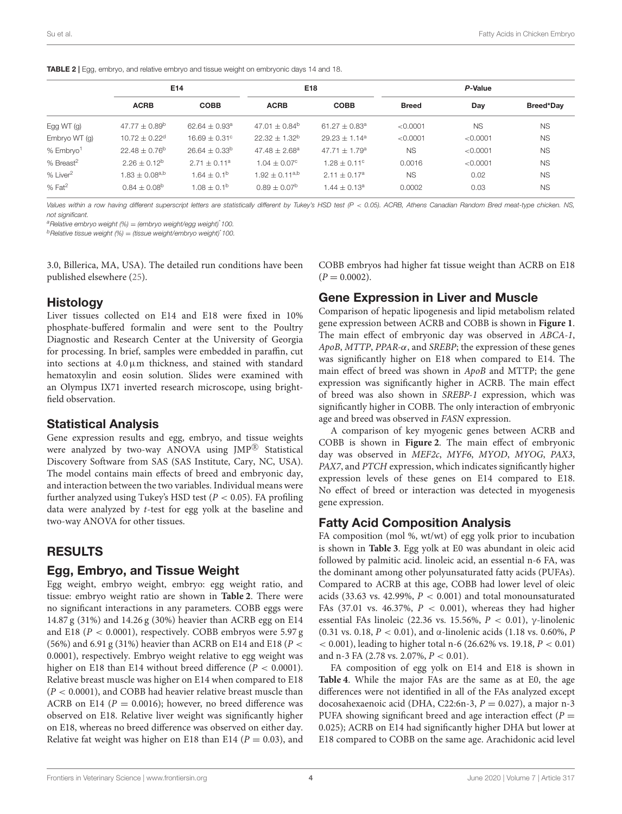<span id="page-3-0"></span>

| <b>TABLE 2</b>   Egg, embryo, and relative embryo and tissue weight on embryonic days 14 and 18. |  |  |  |  |
|--------------------------------------------------------------------------------------------------|--|--|--|--|
|                                                                                                  |  |  |  |  |

|                       |                               | E14                    |                       | E18                         | P-Value      |           |           |  |  |
|-----------------------|-------------------------------|------------------------|-----------------------|-----------------------------|--------------|-----------|-----------|--|--|
|                       | <b>ACRB</b>                   | <b>COBB</b>            | <b>ACRB</b>           | <b>COBB</b>                 | <b>Breed</b> | Day       | Breed*Day |  |  |
| Egg WT $(g)$          | $47.77 \pm 0.89^b$            | $62.64 + 0.93a$        | $47.01 \pm 0.84^b$    | $61.27 + 0.83$ <sup>a</sup> | < 0.0001     | <b>NS</b> | <b>NS</b> |  |  |
| Embryo WT (g)         | $10.72 \pm 0.22$ <sup>d</sup> | $16.69 \pm 0.31$ °     | $22.32 \pm 1.32^b$    | $29.23 \pm 1.14^a$          | < 0.0001     | < 0.0001  | <b>NS</b> |  |  |
| % Embryo <sup>1</sup> | $22.48 \pm 0.76^{\circ}$      | $26.64 \pm 0.33^b$     | $47.48 \pm 2.68^a$    | $47.71 \pm 1.79^{\circ}$    | <b>NS</b>    | < 0.0001  | <b>NS</b> |  |  |
| % Breast <sup>2</sup> | $2.26 + 0.12^b$               | $2.71 + 0.11^a$        | $1.04 + 0.07^{\circ}$ | $1.28 + 0.11^{\circ}$       | 0.0016       | < 0.0001  | <b>NS</b> |  |  |
| % Liver <sup>2</sup>  | $1.83 \pm 0.08^{a,b}$         | $1.64 \pm 0.1^{\circ}$ | $1.92 \pm 0.11^{a,b}$ | $2.11 + 0.17a$              | <b>NS</b>    | 0.02      | <b>NS</b> |  |  |
| $%$ Fat <sup>2</sup>  | $0.84 \pm 0.08$ <sup>b</sup>  | $1.08 + 0.1b$          | $0.89 + 0.07b$        | $1.44 + 0.13a$              | 0.0002       | 0.03      | <b>NS</b> |  |  |

Values within a row having different superscript letters are statistically different by Tukey's HSD test (P < 0.05). ACRB, Athens Canadian Random Bred meat-type chicken. NS, not significant.

 $a^a$ Relative embryo weight (%) = (embryo weight/egg weight)<sup>\*</sup> 100.

 $b$  Relative tissue weight (%) = (tissue weight/embryo weight)\*100.

3.0, Billerica, MA, USA). The detailed run conditions have been published elsewhere [\(25\)](#page-10-9).

## Histology

Liver tissues collected on E14 and E18 were fixed in 10% phosphate-buffered formalin and were sent to the Poultry Diagnostic and Research Center at the University of Georgia for processing. In brief, samples were embedded in paraffin, cut into sections at  $4.0 \mu m$  thickness, and stained with standard hematoxylin and eosin solution. Slides were examined with an Olympus IX71 inverted research microscope, using brightfield observation.

## Statistical Analysis

Gene expression results and egg, embryo, and tissue weights were analyzed by two-way ANOVA using JMP<sup>®</sup> Statistical Discovery Software from SAS (SAS Institute, Cary, NC, USA). The model contains main effects of breed and embryonic day, and interaction between the two variables. Individual means were further analyzed using Tukey's HSD test ( $P < 0.05$ ). FA profiling data were analyzed by t-test for egg yolk at the baseline and two-way ANOVA for other tissues.

# RESULTS

## Egg, Embryo, and Tissue Weight

Egg weight, embryo weight, embryo: egg weight ratio, and tissue: embryo weight ratio are shown in **[Table 2](#page-3-0)**. There were no significant interactions in any parameters. COBB eggs were 14.87 g (31%) and 14.26 g (30%) heavier than ACRB egg on E14 and E18 ( $P < 0.0001$ ), respectively. COBB embryos were 5.97 g (56%) and 6.91 g (31%) heavier than ACRB on E14 and E18 ( $P <$ 0.0001), respectively. Embryo weight relative to egg weight was higher on E18 than E14 without breed difference ( $P < 0.0001$ ). Relative breast muscle was higher on E14 when compared to E18  $(P < 0.0001)$ , and COBB had heavier relative breast muscle than ACRB on E14 ( $P = 0.0016$ ); however, no breed difference was observed on E18. Relative liver weight was significantly higher on E18, whereas no breed difference was observed on either day. Relative fat weight was higher on E18 than E14 ( $P = 0.03$ ), and COBB embryos had higher fat tissue weight than ACRB on E18  $(P = 0.0002)$ .

## Gene Expression in Liver and Muscle

Comparison of hepatic lipogenesis and lipid metabolism related gene expression between ACRB and COBB is shown in **[Figure 1](#page-4-0)**. The main effect of embryonic day was observed in ABCA-1, ApoB, MTTP, PPAR-α, and SREBP; the expression of these genes was significantly higher on E18 when compared to E14. The main effect of breed was shown in ApoB and MTTP; the gene expression was significantly higher in ACRB. The main effect of breed was also shown in SREBP-1 expression, which was significantly higher in COBB. The only interaction of embryonic age and breed was observed in FASN expression.

A comparison of key myogenic genes between ACRB and COBB is shown in **[Figure 2](#page-4-1)**. The main effect of embryonic day was observed in MEF2c, MYF6, MYOD, MYOG, PAX3, PAX7, and PTCH expression, which indicates significantly higher expression levels of these genes on E14 compared to E18. No effect of breed or interaction was detected in myogenesis gene expression.

# Fatty Acid Composition Analysis

FA composition (mol %, wt/wt) of egg yolk prior to incubation is shown in **[Table 3](#page-5-0)**. Egg yolk at E0 was abundant in oleic acid followed by palmitic acid. linoleic acid, an essential n-6 FA, was the dominant among other polyunsaturated fatty acids (PUFAs). Compared to ACRB at this age, COBB had lower level of oleic acids (33.63 vs. 42.99%,  $P < 0.001$ ) and total monounsaturated FAs (37.01 vs. 46.37%,  $P < 0.001$ ), whereas they had higher essential FAs linoleic (22.36 vs. 15.56%,  $P < 0.01$ ), γ-linolenic (0.31 vs. 0.18,  $P < 0.01$ ), and  $\alpha$ -linolenic acids (1.18 vs. 0.60%, P  $<$  0.001), leading to higher total n-6 (26.62% vs. 19.18,  $P < 0.01$ ) and n-3 FA (2.78 vs. 2.07%, P < 0.01).

FA composition of egg yolk on E14 and E18 is shown in **[Table 4](#page-6-0)**. While the major FAs are the same as at E0, the age differences were not identified in all of the FAs analyzed except docosahexaenoic acid (DHA, C22:6n-3,  $P = 0.027$ ), a major n-3 PUFA showing significant breed and age interaction effect ( $P =$ 0.025); ACRB on E14 had significantly higher DHA but lower at E18 compared to COBB on the same age. Arachidonic acid level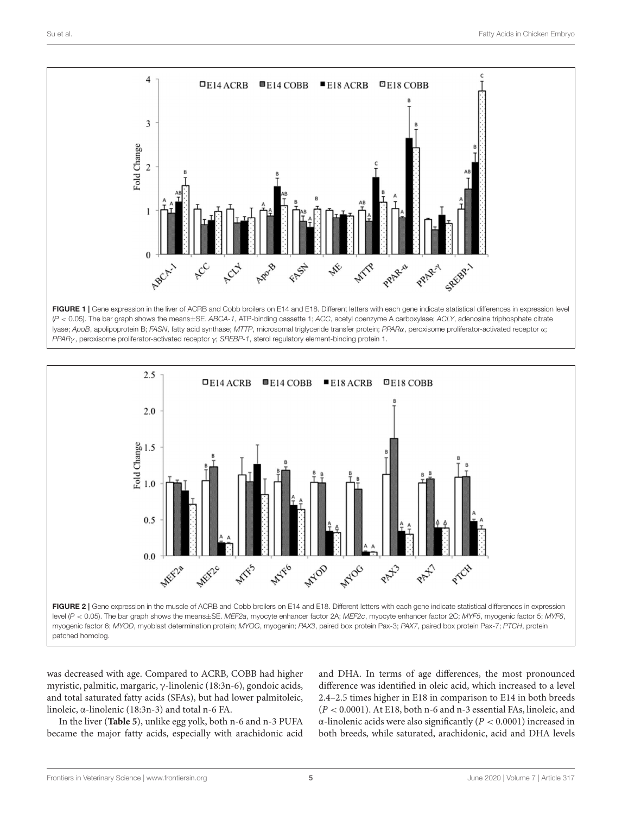

<span id="page-4-0"></span>(P < 0.05). The bar graph shows the means±SE. ABCA-1, ATP-binding cassette 1; ACC, acetyl coenzyme A carboxylase; ACLY, adenosine triphosphate citrate lyase; ApoB, apolipoprotein B; FASN, fatty acid synthase; MTTP, microsomal triglyceride transfer protein; PPARα, peroxisome proliferator-activated receptor α; PPARγ , peroxisome proliferator-activated receptor γ; SREBP-1, sterol regulatory element-binding protein 1.



<span id="page-4-1"></span>was decreased with age. Compared to ACRB, COBB had higher myristic, palmitic, margaric, γ-linolenic (18:3n-6), gondoic acids, and total saturated fatty acids (SFAs), but had lower palmitoleic, linoleic, α-linolenic (18:3n-3) and total n-6 FA.

In the liver (**[Table 5](#page-6-1)**), unlike egg yolk, both n-6 and n-3 PUFA became the major fatty acids, especially with arachidonic acid and DHA. In terms of age differences, the most pronounced difference was identified in oleic acid, which increased to a level 2.4–2.5 times higher in E18 in comparison to E14 in both breeds (P < 0.0001). At E18, both n-6 and n-3 essential FAs, linoleic, and α-linolenic acids were also significantly (P < 0.0001) increased in both breeds, while saturated, arachidonic, acid and DHA levels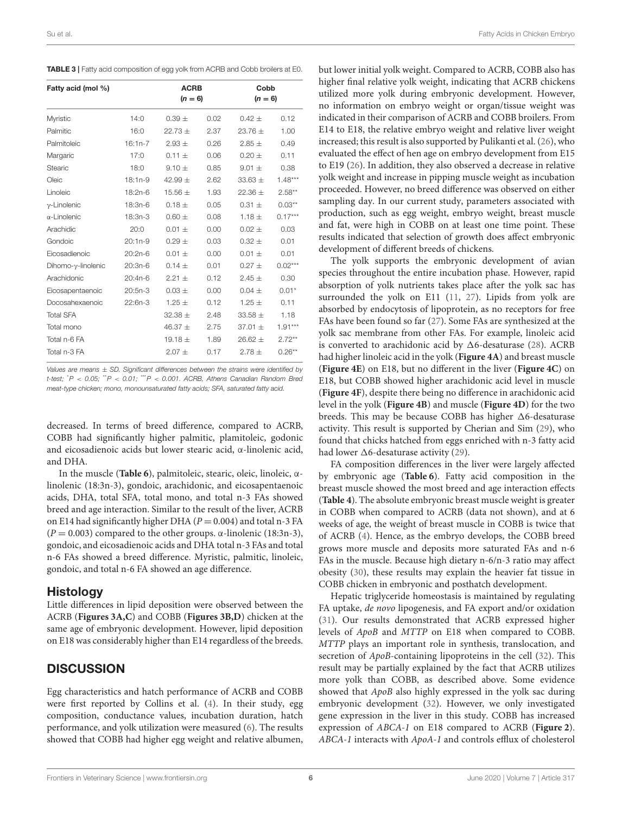<span id="page-5-0"></span>TABLE 3 | Fatty acid composition of egg yolk from ACRB and Cobb broilers at E0.

| Fatty acid (mol %)       |           | <b>ACRB</b><br>$(n = 6)$ |      | Cobb<br>$(n = 6)$ |           |  |
|--------------------------|-----------|--------------------------|------|-------------------|-----------|--|
| Myristic                 | 14:0      | $0.39 \pm$               | 0.02 | $0.42 \pm$        | 0.12      |  |
| Palmitic                 | 16:0      | $22.73 +$                | 2.37 | 23.76 $\pm$       | 1.00      |  |
| Palmitoleic              | $16:1n-7$ | $2.93 \pm$               | 0.26 | $2.85 \pm$        | 0.49      |  |
| Margaric                 | 17:0      | $0.11 \pm$               | 0.06 | $0.20 \pm$        | 0.11      |  |
| Stearic                  | 18:0      | $9.10 \pm$               | 0.85 | $9.01 \pm$        | 0.38      |  |
| Oleic                    | $18:1n-9$ | 42.99 $\pm$              | 2.62 | $33.63 \pm$       | $1.48***$ |  |
| Linoleic                 | 18:2n-6   | 15.56 $\pm$              | 1.93 | 22.36 $\pm$       | $2.58**$  |  |
| $v$ -Linolenic           | 18:3n-6   | $0.18 \pm$               | 0.05 | $0.31 \pm$        | $0.03***$ |  |
| $\alpha$ -Linolenic      | 18:3n-3   | $0.60 \pm$               | 0.08 | $1.18 \pm$        | $0.17***$ |  |
| Arachidic                | 20:0      | $0.01 \pm$               | 0.00 | $0.02 \pm$        | 0.03      |  |
| Gondoic                  | $20:1n-9$ | $0.29 \pm$               | 0.03 | $0.32 \pm$        | 0.01      |  |
| Eicosadienoic            | $20:2n-6$ | $0.01 \pm$               | 0.00 | $0.01 \pm$        | 0.01      |  |
| Dihomo- $\nu$ -linolenic | 20:3n-6   | $0.14 \pm$               | 0.01 | $0.27 +$          | $0.02***$ |  |
| Arachidonic              | 20:4n-6   | $2.21 \pm$               | 0.12 | $2.45 \pm$        | 0.30      |  |
| Eicosapentaenoic         | $20:5n-3$ | $0.03 \pm$               | 0.00 | $0.04 \pm$        | $0.01*$   |  |
| Docosahexaenoic          | 22:6n-3   | $1.25 \pm$               | 0.12 | $1.25 \pm$        | 0.11      |  |
| <b>Total SFA</b>         |           | $32.38 \pm$              | 2.48 | $33.58 \pm$       | 1.18      |  |
| Total mono               |           | 46.37 $\pm$              | 2.75 | $37.01 \pm$       | $1.91***$ |  |
| Total n-6 FA             |           | 19.18 $\pm$              | 1.89 | 26.62 $\pm$       | $2.72**$  |  |
| Total n-3 FA             |           | $2.07 +$                 | 0.17 | $2.78 \pm$        | $0.26**$  |  |

Values are means  $\pm$  SD. Significant differences between the strains were identified by t-test;  $P < 0.05$ ;  $P < 0.01$ ;  $P < 0.001$ . ACRB, Athens Canadian Random Bred meat-type chicken; mono, monounsaturated fatty acids; SFA, saturated fatty acid.

decreased. In terms of breed difference, compared to ACRB, COBB had significantly higher palmitic, plamitoleic, godonic and eicosadienoic acids but lower stearic acid, α-linolenic acid, and DHA.

In the muscle (**[Table 6](#page-7-0)**), palmitoleic, stearic, oleic, linoleic, αlinolenic (18:3n-3), gondoic, arachidonic, and eicosapentaenoic acids, DHA, total SFA, total mono, and total n-3 FAs showed breed and age interaction. Similar to the result of the liver, ACRB on E14 had significantly higher DHA ( $P = 0.004$ ) and total n-3 FA  $(P = 0.003)$  compared to the other groups. α-linolenic (18:3n-3), gondoic, and eicosadienoic acids and DHA total n-3 FAs and total n-6 FAs showed a breed difference. Myristic, palmitic, linoleic, gondoic, and total n-6 FA showed an age difference.

### Histology

Little differences in lipid deposition were observed between the ACRB (**[Figures 3A,C](#page-7-1)**) and COBB (**[Figures 3B,D](#page-7-1)**) chicken at the same age of embryonic development. However, lipid deposition on E18 was considerably higher than E14 regardless of the breeds.

## **DISCUSSION**

Egg characteristics and hatch performance of ACRB and COBB were first reported by Collins et al. [\(4\)](#page-9-3). In their study, egg composition, conductance values, incubation duration, hatch performance, and yolk utilization were measured [\(6\)](#page-9-5). The results showed that COBB had higher egg weight and relative albumen,

but lower initial yolk weight. Compared to ACRB, COBB also has higher final relative yolk weight, indicating that ACRB chickens utilized more yolk during embryonic development. However, no information on embryo weight or organ/tissue weight was indicated in their comparison of ACRB and COBB broilers. From E14 to E18, the relative embryo weight and relative liver weight increased; this result is also supported by Pulikanti et al. [\(26\)](#page-10-10), who evaluated the effect of hen age on embryo development from E15 to E19 [\(26\)](#page-10-10). In addition, they also observed a decrease in relative yolk weight and increase in pipping muscle weight as incubation proceeded. However, no breed difference was observed on either sampling day. In our current study, parameters associated with production, such as egg weight, embryo weight, breast muscle and fat, were high in COBB on at least one time point. These results indicated that selection of growth does affect embryonic development of different breeds of chickens.

The yolk supports the embryonic development of avian species throughout the entire incubation phase. However, rapid absorption of yolk nutrients takes place after the yolk sac has surrounded the yolk on E11 [\(11,](#page-9-10) [27\)](#page-10-11). Lipids from yolk are absorbed by endocytosis of lipoprotein, as no receptors for free FAs have been found so far [\(27\)](#page-10-11). Some FAs are synthesized at the yolk sac membrane from other FAs. For example, linoleic acid is converted to arachidonic acid by  $\Delta 6$ -desaturase [\(28\)](#page-10-12). ACRB had higher linoleic acid in the yolk (**[Figure 4A](#page-8-0)**) and breast muscle (**[Figure 4E](#page-8-0)**) on E18, but no different in the liver (**[Figure 4C](#page-8-0)**) on E18, but COBB showed higher arachidonic acid level in muscle (**[Figure 4F](#page-8-0)**), despite there being no difference in arachidonic acid level in the yolk (**[Figure 4B](#page-8-0)**) and muscle (**[Figure 4D](#page-8-0)**) for the two breeds. This may be because COBB has higher  $\Delta 6$ -desaturase activity. This result is supported by Cherian and Sim [\(29\)](#page-10-13), who found that chicks hatched from eggs enriched with n-3 fatty acid had lower  $\Delta$ 6-desaturase activity [\(29\)](#page-10-13).

FA composition differences in the liver were largely affected by embryonic age (**[Table 6](#page-7-0)**). Fatty acid composition in the breast muscle showed the most breed and age interaction effects (**[Table 4](#page-6-0)**). The absolute embryonic breast muscle weight is greater in COBB when compared to ACRB (data not shown), and at 6 weeks of age, the weight of breast muscle in COBB is twice that of ACRB [\(4\)](#page-9-3). Hence, as the embryo develops, the COBB breed grows more muscle and deposits more saturated FAs and n-6 FAs in the muscle. Because high dietary n-6/n-3 ratio may affect obesity [\(30\)](#page-10-14), these results may explain the heavier fat tissue in COBB chicken in embryonic and posthatch development.

Hepatic triglyceride homeostasis is maintained by regulating FA uptake, de novo lipogenesis, and FA export and/or oxidation [\(31\)](#page-10-15). Our results demonstrated that ACRB expressed higher levels of ApoB and MTTP on E18 when compared to COBB. MTTP plays an important role in synthesis, translocation, and secretion of *ApoB*-containing lipoproteins in the cell [\(32\)](#page-10-16). This result may be partially explained by the fact that ACRB utilizes more yolk than COBB, as described above. Some evidence showed that ApoB also highly expressed in the yolk sac during embryonic development [\(32\)](#page-10-16). However, we only investigated gene expression in the liver in this study. COBB has increased expression of ABCA-1 on E18 compared to ACRB (**[Figure 2](#page-4-1)**). ABCA-1 interacts with ApoA-1 and controls efflux of cholesterol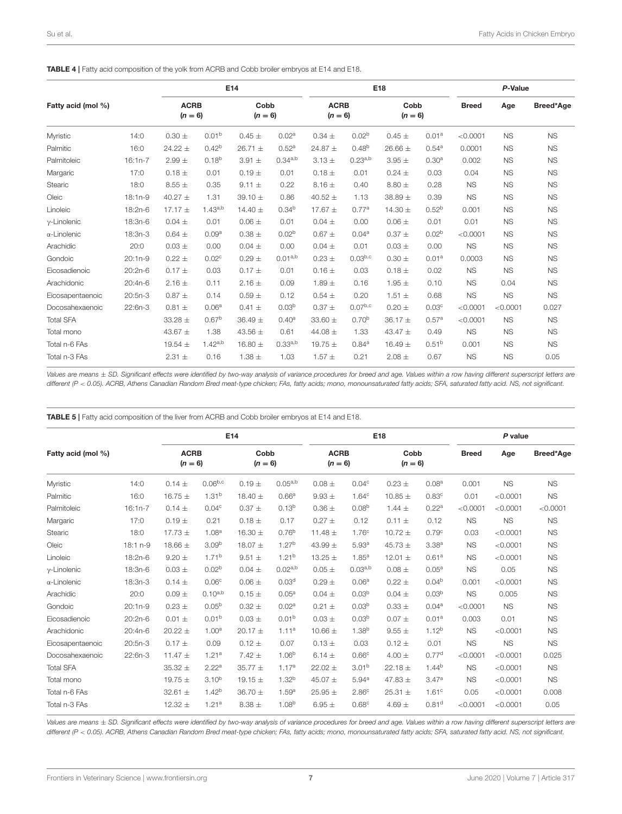<span id="page-6-0"></span>TABLE 4 | Fatty acid composition of the yolk from ACRB and Cobb broiler embryos at E14 and E18.

|                     |           |                          |                   | E14               |                   |                          | E18                 |                   |                   |              | P-Value   |           |  |  |
|---------------------|-----------|--------------------------|-------------------|-------------------|-------------------|--------------------------|---------------------|-------------------|-------------------|--------------|-----------|-----------|--|--|
| Fatty acid (mol %)  |           | <b>ACRB</b><br>$(n = 6)$ |                   | Cobb<br>$(n = 6)$ |                   | <b>ACRB</b><br>$(n = 6)$ |                     | Cobb<br>$(n = 6)$ |                   | <b>Breed</b> | Age       | Breed*Age |  |  |
| Myristic            | 14:0      | $0.30 \pm$               | 0.01 <sup>b</sup> | $0.45 \pm$        | 0.02 <sup>a</sup> | $0.34 \pm$               | 0.02 <sup>b</sup>   | $0.45 \pm$        | 0.01 <sup>a</sup> | < 0.0001     | <b>NS</b> | <b>NS</b> |  |  |
| Palmitic            | 16:0      | 24.22 $\pm$              | 0.42 <sup>b</sup> | 26.71 $\pm$       | 0.52 <sup>a</sup> | 24.87 $\pm$              | 0.48 <sup>b</sup>   | 26.66 $\pm$       | 0.54 <sup>a</sup> | 0.0001       | <b>NS</b> | <b>NS</b> |  |  |
| Palmitoleic         | $16:1n-7$ | $2.99 \pm$               | $0.18^{b}$        | $3.91 \pm$        | $0.34^{a,b}$      | $3.13 \pm$               | $0.23^{a,b}$        | $3.95 \pm$        | 0.30 <sup>a</sup> | 0.002        | <b>NS</b> | <b>NS</b> |  |  |
| Margaric            | 17:0      | $0.18 \pm$               | 0.01              | $0.19 +$          | 0.01              | $0.18 \pm$               | 0.01                | $0.24 \pm$        | 0.03              | 0.04         | <b>NS</b> | <b>NS</b> |  |  |
| Stearic             | 18:0      | $8.55 \pm$               | 0.35              | $9.11 \pm$        | 0.22              | $8.16 \pm$               | 0.40                | $8.80 \pm$        | 0.28              | <b>NS</b>    | <b>NS</b> | <b>NS</b> |  |  |
| Oleic               | $18:1n-9$ | 40.27 $\pm$              | 1.31              | 39.10 $\pm$       | 0.86              | 40.52 $\pm$              | 1.13                | 38.89 $\pm$       | 0.39              | <b>NS</b>    | <b>NS</b> | <b>NS</b> |  |  |
| Linoleic            | 18:2n-6   | 17.17 $\pm$              | $1.43^{a,b}$      | 14.40 $\pm$       | 0.34 <sup>b</sup> | 17.67 $\pm$              | 0.77 <sup>a</sup>   | 14.30 $\pm$       | $0.52^{b}$        | 0.001        | <b>NS</b> | <b>NS</b> |  |  |
| $\gamma$ -Linolenic | 18:3n-6   | $0.04 \pm$               | 0.01              | $0.06 \pm$        | 0.01              | $0.04 \pm$               | 0.00                | $0.06 \pm$        | 0.01              | 0.01         | <b>NS</b> | <b>NS</b> |  |  |
| $\alpha$ -Linolenic | 18:3n-3   | $0.64 \pm$               | 0.09 <sup>a</sup> | $0.38 \pm$        | 0.02 <sup>b</sup> | $0.67 \pm$               | 0.04 <sup>a</sup>   | $0.37 +$          | 0.02 <sup>b</sup> | < 0.0001     | <b>NS</b> | <b>NS</b> |  |  |
| Arachidic           | 20:0      | $0.03 \pm$               | 0.00              | $0.04 \pm$        | 0.00              | $0.04 \pm$               | 0.01                | $0.03 +$          | 0.00              | <b>NS</b>    | <b>NS</b> | <b>NS</b> |  |  |
| Gondoic             | $20:1n-9$ | $0.22 \pm$               | 0.02 <sup>c</sup> | $0.29 +$          | $0.01^{a,b}$      | $0.23 \pm$               | $0.03^{b,c}$        | $0.30 \pm$        | 0.01 <sup>a</sup> | 0.0003       | <b>NS</b> | <b>NS</b> |  |  |
| Eicosadienoic       | 20:2n-6   | $0.17 \pm$               | 0.03              | $0.17 +$          | 0.01              | $0.16 \pm$               | 0.03                | $0.18 \pm$        | 0.02              | <b>NS</b>    | <b>NS</b> | <b>NS</b> |  |  |
| Arachidonic         | $20:4n-6$ | $2.16 \pm$               | 0.11              | $2.16 \pm$        | 0.09              | 1.89 $\pm$               | 0.16                | 1.95 $\pm$        | 0.10              | <b>NS</b>    | 0.04      | <b>NS</b> |  |  |
| Eicosapentaenoic    | $20:5n-3$ | $0.87 +$                 | 0.14              | $0.59 \pm$        | 0.12              | $0.54 \pm$               | 0.20                | 1.51 $\pm$        | 0.68              | <b>NS</b>    | <b>NS</b> | <b>NS</b> |  |  |
| Docosahexaenoic     | 22:6n-3   | $0.81 \pm$               | 0.06 <sup>a</sup> | $0.41 \pm$        | 0.03 <sup>b</sup> | $0.37 \pm$               | 0.07 <sup>b,c</sup> | $0.20 \pm$        | 0.03 <sup>c</sup> | < 0.0001     | < 0.0001  | 0.027     |  |  |
| <b>Total SFA</b>    |           | 33.28 $\pm$              | 0.67 <sup>b</sup> | 36.49 $\pm$       | 0.40 <sup>a</sup> | $33.60 \pm$              | 0.70 <sup>b</sup>   | 36.17 $\pm$       | 0.57a             | < 0.0001     | <b>NS</b> | <b>NS</b> |  |  |
| Total mono          |           | 43.67 $\pm$              | 1.38              | 43.56 $\pm$       | 0.61              | 44.08 $\pm$              | 1.33                | 43.47 $\pm$       | 0.49              | <b>NS</b>    | <b>NS</b> | <b>NS</b> |  |  |
| Total n-6 FAs       |           | 19.54 $\pm$              | 1.42a,b           | 16.80 $\pm$       | 0.33a,b           | 19.75 $\pm$              | 0.84 <sup>a</sup>   | 16.49 $\pm$       | 0.51 <sup>b</sup> | 0.001        | <b>NS</b> | <b>NS</b> |  |  |
| Total n-3 FAs       |           | $2.31 \pm$               | 0.16              | $1.38 \pm$        | 1.03              | $1.57 \pm$               | 0.21                | $2.08 \pm$        | 0.67              | <b>NS</b>    | <b>NS</b> | 0.05      |  |  |

Values are means ± SD. Significant effects were identified by two-way analysis of variance procedures for breed and age. Values within a row having different superscript letters are different (P < 0.05). ACRB, Athens Canadian Random Bred meat-type chicken; FAs, fatty acids; mono, monounsaturated fatty acids; SFA, saturated fatty acid. NS, not significant.

<span id="page-6-1"></span>TABLE 5 | Fatty acid composition of the liver from ACRB and Cobb broiler embryos at E14 and E18.

|                     |           |                          |                   | E14               |                   | E18                      |                   |                   |                   | P value      |           |           |  |
|---------------------|-----------|--------------------------|-------------------|-------------------|-------------------|--------------------------|-------------------|-------------------|-------------------|--------------|-----------|-----------|--|
| Fatty acid (mol %)  |           | <b>ACRB</b><br>$(n = 6)$ |                   | Cobb<br>$(n = 6)$ |                   | <b>ACRB</b><br>$(n = 6)$ |                   | Cobb<br>$(n = 6)$ |                   | <b>Breed</b> | Age       | Breed*Age |  |
| Myristic            | 14:0      | $0.14 \pm$               | $0.06^{b,c}$      | $0.19 +$          | $0.05^{a,b}$      | $0.08 \pm$               | 0.04 <sup>c</sup> | $0.23 \pm$        | 0.08 <sup>a</sup> | 0.001        | <b>NS</b> | <b>NS</b> |  |
| Palmitic            | 16:0      | 16.75 $\pm$              | 1.31 <sup>b</sup> | 18.40 $\pm$       | 0.66 <sup>a</sup> | $9.93 \pm$               | 1.64 <sup>c</sup> | 10.85 $\pm$       | 0.83 <sup>c</sup> | 0.01         | < 0.0001  | <b>NS</b> |  |
| Palmitoleic         | $16:1n-7$ | $0.14 \pm$               | 0.04 <sup>c</sup> | $0.37 \pm$        | 0.13 <sup>b</sup> | $0.36 \pm$               | 0.08 <sup>b</sup> | $1.44 \pm$        | 0.22 <sup>a</sup> | < 0.0001     | < 0.0001  | < 0.0001  |  |
| Margaric            | 17:0      | $0.19 +$                 | 0.21              | $0.18 \pm$        | 0.17              | $0.27 \pm$               | 0.12              | $0.11 \pm$        | 0.12              | <b>NS</b>    | <b>NS</b> | <b>NS</b> |  |
| Stearic             | 18:0      | 17.73 $\pm$              | 1.08 <sup>a</sup> | 16.30 $\pm$       | 0.76 <sup>b</sup> | 11.48 $\pm$              | 1.76 <sup>c</sup> | 10.72 $\pm$       | 0.79 <sup>c</sup> | 0.03         | < 0.0001  | <b>NS</b> |  |
| Oleic               | 18:1 n-9  | 18.66 $\pm$              | 3.09 <sup>b</sup> | 18.07 $\pm$       | 1.27 <sup>b</sup> | 43.99 $\pm$              | 5.93 <sup>a</sup> | 45.73 $\pm$       | 3.38 <sup>a</sup> | <b>NS</b>    | < 0.0001  | <b>NS</b> |  |
| Linoleic            | 18:2n-6   | $9.20 \pm$               | 1.71 <sup>b</sup> | $9.51 \pm$        | 1.21 <sup>b</sup> | 13.25 $\pm$              | $1.85^{a}$        | 12.01 $\pm$       | 0.61 <sup>a</sup> | <b>NS</b>    | < 0.0001  | <b>NS</b> |  |
| $y$ -Linolenic      | 18:3n-6   | $0.03 +$                 | 0.02 <sup>b</sup> | $0.04 \pm$        | $0.02^{a,b}$      | $0.05 \pm$               | $0.03^{a,b}$      | $0.08 \pm$        | 0.05 <sup>a</sup> | <b>NS</b>    | 0.05      | <b>NS</b> |  |
| $\alpha$ -Linolenic | 18:3n-3   | $0.14 \pm$               | 0.06 <sup>c</sup> | $0.06 \pm$        | 0.03 <sup>d</sup> | $0.29 \pm$               | 0.06 <sup>a</sup> | $0.22 \pm$        | 0.04 <sup>b</sup> | 0.001        | < 0.0001  | <b>NS</b> |  |
| Arachidic           | 20:0      | $0.09 +$                 | $0.10^{a,b}$      | $0.15 \pm$        | 0.05 <sup>a</sup> | $0.04 \pm$               | 0.03 <sup>b</sup> | $0.04 \pm$        | 0.03 <sup>b</sup> | <b>NS</b>    | 0.005     | <b>NS</b> |  |
| Gondoic             | $20:1n-9$ | $0.23 \pm$               | $0.05^{b}$        | $0.32 \pm$        | 0.02 <sup>a</sup> | $0.21 \pm$               | 0.03 <sup>b</sup> | $0.33 \pm$        | 0.04 <sup>a</sup> | < 0.0001     | <b>NS</b> | <b>NS</b> |  |
| Eicosadienoic       | $20:2n-6$ | $0.01 \pm$               | 0.01 <sup>b</sup> | $0.03 \pm$        | 0.01 <sup>b</sup> | $0.03 \pm$               | 0.03 <sup>b</sup> | $0.07 \pm$        | 0.01 <sup>a</sup> | 0.003        | 0.01      | <b>NS</b> |  |
| Arachidonic         | $20:4n-6$ | $20.22 \pm$              | 1.00 <sup>a</sup> | 20.17 $\pm$       | 1.11 <sup>a</sup> | 10.66 $\pm$              | 1.38 <sup>b</sup> | $9.55 \pm$        | 1.12 <sup>b</sup> | <b>NS</b>    | < 0.0001  | <b>NS</b> |  |
| Eicosapentaenoic    | 20:5n-3   | $0.17 \pm$               | 0.09              | $0.12 \pm$        | 0.07              | $0.13 \pm$               | 0.03              | $0.12 \pm$        | 0.01              | <b>NS</b>    | <b>NS</b> | <b>NS</b> |  |
| Docosahexaenoic     | 22:6n-3   | 11.47 $\pm$              | 1.21 <sup>a</sup> | $7.42 \pm$        | 1.06 <sup>b</sup> | 6.14 $\pm$               | 0.66 <sup>c</sup> | $4.00 \pm$        | 0.77 <sup>d</sup> | < 0.0001     | < 0.0001  | 0.025     |  |
| <b>Total SFA</b>    |           | $35.32 \pm$              | 2.22 <sup>a</sup> | $35.77 \pm$       | 1.17 <sup>a</sup> | $22.02 \pm$              | 3.01 <sup>b</sup> | 22.18 $\pm$       | $1.44^{b}$        | <b>NS</b>    | < 0.0001  | <b>NS</b> |  |
| Total mono          |           | 19.75 $\pm$              | $3.10^{b}$        | 19.15 $\pm$       | 1.32 <sup>b</sup> | 45.07 $\pm$              | 5.94 <sup>a</sup> | 47.83 $\pm$       | 3.47a             | <b>NS</b>    | < 0.0001  | <b>NS</b> |  |
| Total n-6 FAs       |           | 32.61 $\pm$              | $1.42^{b}$        | 36.70 $\pm$       | 1.59 <sup>a</sup> | 25.95 $\pm$              | 2.86 <sup>c</sup> | 25.31 $\pm$       | 1.61 <sup>c</sup> | 0.05         | < 0.0001  | 0.008     |  |
| Total n-3 FAs       |           | 12.32 $\pm$              | 1.21 <sup>a</sup> | $8.38 \pm$        | 1.08 <sup>b</sup> | 6.95 $\pm$               | 0.68 <sup>c</sup> | 4.69 $\pm$        | 0.81 <sup>d</sup> | < 0.0001     | < 0.0001  | 0.05      |  |

Values are means ± SD. Significant effects were identified by two-way analysis of variance procedures for breed and age. Values within a row having different superscript letters are different (P < 0.05). ACRB, Athens Canadian Random Bred meat-type chicken; FAs, fatty acids; mono, monounsaturated fatty acids; SFA, saturated fatty acid. NS, not significant.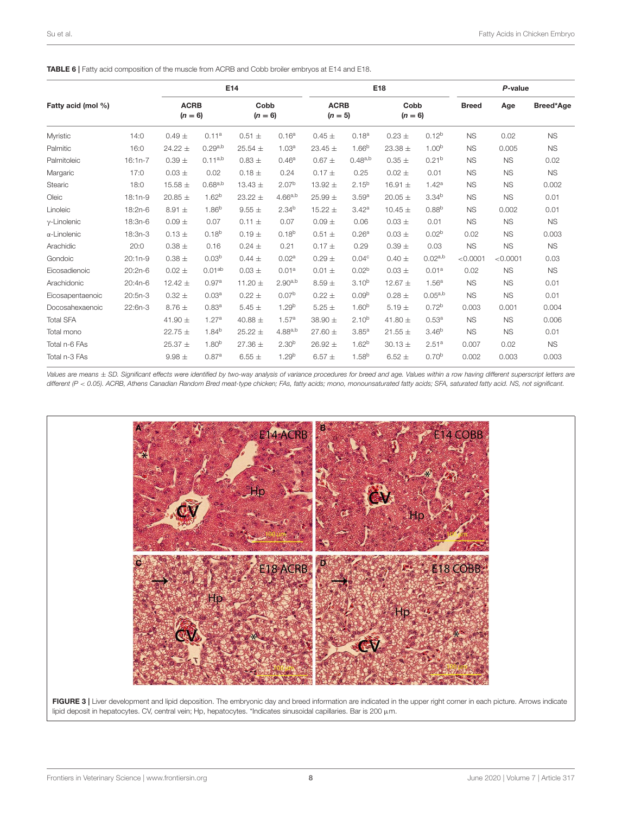<span id="page-7-0"></span>TABLE 6 | Fatty acid composition of the muscle from ACRB and Cobb broiler embryos at E14 and E18.

|                     |           | E14                      |                    |                   |                   |                          | E18               |                   |                   |              | P-value   |           |  |  |
|---------------------|-----------|--------------------------|--------------------|-------------------|-------------------|--------------------------|-------------------|-------------------|-------------------|--------------|-----------|-----------|--|--|
| Fatty acid (mol %)  |           | <b>ACRB</b><br>$(n = 6)$ |                    | Cobb<br>$(n = 6)$ |                   | <b>ACRB</b><br>$(n = 5)$ |                   | Cobb<br>$(n = 6)$ |                   | <b>Breed</b> | Age       | Breed*Age |  |  |
| Myristic            | 14:0      | $0.49 \pm$               | 0.11 <sup>a</sup>  | $0.51 \pm$        | 0.16 <sup>a</sup> | $0.45 \pm$               | 0.18 <sup>a</sup> | $0.23 \pm$        | $0.12^{b}$        | <b>NS</b>    | 0.02      | <b>NS</b> |  |  |
| Palmitic            | 16:0      | $24.22 \pm$              | 0.29a,b            | 25.54 $\pm$       | 1.03 <sup>a</sup> | 23.45 $\pm$              | 1.66 <sup>b</sup> | 23.38 $\pm$       | 1.00 <sup>b</sup> | <b>NS</b>    | 0.005     | <b>NS</b> |  |  |
| Palmitoleic         | $16:1n-7$ | $0.39 +$                 | $0.11^{a,b}$       | $0.83 +$          | 0.46 <sup>a</sup> | $0.67 \pm$               | $0.48^{a,b}$      | $0.35 \pm$        | 0.21 <sup>b</sup> | <b>NS</b>    | <b>NS</b> | 0.02      |  |  |
| Margaric            | 17:0      | $0.03 \pm$               | 0.02               | $0.18 \pm$        | 0.24              | $0.17 \pm$               | 0.25              | $0.02 \pm$        | 0.01              | <b>NS</b>    | <b>NS</b> | <b>NS</b> |  |  |
| Stearic             | 18:0      | 15.58 $\pm$              | 0.68a, b           | 13.43 $\pm$       | 2.07 <sup>b</sup> | 13.92 $\pm$              | $2.15^{b}$        | 16.91 $\pm$       | 1.42a             | <b>NS</b>    | <b>NS</b> | 0.002     |  |  |
| Oleic               | $18:1n-9$ | 20.85 $\pm$              | 1.62 <sup>b</sup>  | $23.22 \pm$       | $4.66^{a,b}$      | 25.99 $\pm$              | 3.59 <sup>a</sup> | $20.05 \pm$       | 3.34 <sup>b</sup> | <b>NS</b>    | <b>NS</b> | 0.01      |  |  |
| Linoleic            | 18:2n-6   | $8.91 \pm$               | $1.86^{b}$         | $9.55 \pm$        | 2.34 <sup>b</sup> | 15.22 $\pm$              | 3.42 <sup>a</sup> | 10.45 $\pm$       | $0.88^{b}$        | <b>NS</b>    | 0.002     | 0.01      |  |  |
| $\gamma$ -Linolenic | 18:3n-6   | $0.09 +$                 | 0.07               | $0.11 \pm$        | 0.07              | $0.09 \pm$               | 0.06              | $0.03 \pm$        | 0.01              | <b>NS</b>    | <b>NS</b> | <b>NS</b> |  |  |
| $\alpha$ -Linolenic | 18:3n-3   | $0.13 \pm$               | $0.18^{b}$         | $0.19 \pm$        | 0.18 <sup>b</sup> | $0.51 \pm$               | 0.26 <sup>a</sup> | $0.03 +$          | 0.02 <sup>b</sup> | 0.02         | <b>NS</b> | 0.003     |  |  |
| Arachidic           | 20:0      | $0.38 \pm$               | 0.16               | $0.24 \pm$        | 0.21              | $0.17 \pm$               | 0.29              | $0.39 +$          | 0.03              | <b>NS</b>    | <b>NS</b> | <b>NS</b> |  |  |
| Gondoic             | $20:1n-9$ | $0.38 \pm$               | 0.03 <sup>b</sup>  | $0.44 \pm$        | 0.02 <sup>a</sup> | $0.29 \pm$               | 0.04 <sup>c</sup> | $0.40 \pm$        | $0.02^{a,b}$      | < 0.0001     | < 0.0001  | 0.03      |  |  |
| Eicosadienoic       | 20:2n-6   | $0.02 \pm$               | 0.01 <sup>ab</sup> | $0.03 \pm$        | 0.01 <sup>a</sup> | $0.01 \pm$               | 0.02 <sup>b</sup> | $0.03 \pm$        | 0.01 <sup>a</sup> | 0.02         | <b>NS</b> | <b>NS</b> |  |  |
| Arachidonic         | $20:4n-6$ | 12.42 $\pm$              | 0.97a              | 11.20 $\pm$       | $2.90^{a,b}$      | $8.59 \pm$               | $3.10^{b}$        | 12.67 $\pm$       | 1.56 <sup>a</sup> | <b>NS</b>    | <b>NS</b> | 0.01      |  |  |
| Eicosapentaenoic    | 20:5n-3   | $0.32 \pm$               | 0.03 <sup>a</sup>  | $0.22 \pm$        | 0.07 <sup>b</sup> | $0.22 \pm$               | 0.09 <sup>b</sup> | $0.28 \pm$        | $0.05^{a,b}$      | <b>NS</b>    | <b>NS</b> | 0.01      |  |  |
| Docosahexaenoic     | 22:6n-3   | $8.76 \pm$               | 0.83 <sup>a</sup>  | $5.45 \pm$        | 1.29 <sup>b</sup> | 5.25 $\pm$               | 1.60 <sup>b</sup> | 5.19 $\pm$        | 0.72 <sup>b</sup> | 0.003        | 0.001     | 0.004     |  |  |
| <b>Total SFA</b>    |           | 41.90 $\pm$              | 1.27 <sup>a</sup>  | 40.88 $\pm$       | 1.57 <sup>a</sup> | 38.90 $\pm$              | $2.10^{b}$        | 41.80 $\pm$       | 0.53 <sup>a</sup> | <b>NS</b>    | <b>NS</b> | 0.006     |  |  |
| Total mono          |           | $22.75 \pm$              | $1.84^{b}$         | $25.22 \pm$       | $4.88^{a,b}$      | $27.60 \pm$              | 3.85 <sup>a</sup> | $21.55 \pm$       | 3.46 <sup>b</sup> | <b>NS</b>    | <b>NS</b> | 0.01      |  |  |
| Total n-6 FAs       |           | 25.37 $\pm$              | 1.80 <sup>b</sup>  | 27.36 $\pm$       | 2.30 <sup>b</sup> | $26.92 \pm$              | 1.62 <sup>b</sup> | $30.13 \pm$       | 2.51 <sup>a</sup> | 0.007        | 0.02      | <b>NS</b> |  |  |
| Total n-3 FAs       |           | $9.98 \pm$               | 0.87 <sup>a</sup>  | $6.55 \pm$        | 1.29 <sup>b</sup> | 6.57 $\pm$               | $1.58^{b}$        | 6.52 $\pm$        | 0.70 <sup>b</sup> | 0.002        | 0.003     | 0.003     |  |  |

Values are means ± SD. Significant effects were identified by two-way analysis of variance procedures for breed and age. Values within a row having different superscript letters are different (P < 0.05). ACRB, Athens Canadian Random Bred meat-type chicken; FAs, fatty acids; mono, monounsaturated fatty acids; SFA, saturated fatty acid. NS, not significant.



<span id="page-7-1"></span>FIGURE 3 | Liver development and lipid deposition. The embryonic day and breed information are indicated in the upper right corner in each picture. Arrows indicate lipid deposit in hepatocytes. CV, central vein; Hp, hepatocytes. \*Indicates sinusoidal capillaries. Bar is 200 µm.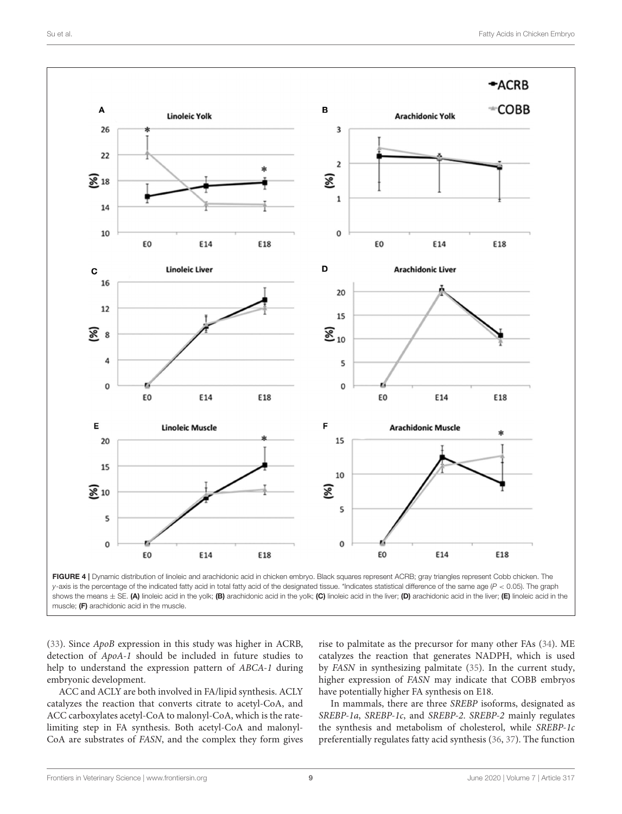

<span id="page-8-0"></span>

[\(33\)](#page-10-17). Since ApoB expression in this study was higher in ACRB, detection of ApoA-1 should be included in future studies to help to understand the expression pattern of ABCA-1 during embryonic development.

ACC and ACLY are both involved in FA/lipid synthesis. ACLY catalyzes the reaction that converts citrate to acetyl-CoA, and ACC carboxylates acetyl-CoA to malonyl-CoA, which is the ratelimiting step in FA synthesis. Both acetyl-CoA and malonyl-CoA are substrates of FASN, and the complex they form gives

rise to palmitate as the precursor for many other FAs [\(34\)](#page-10-18). ME catalyzes the reaction that generates NADPH, which is used by FASN in synthesizing palmitate [\(35\)](#page-10-19). In the current study, higher expression of FASN may indicate that COBB embryos have potentially higher FA synthesis on E18.

In mammals, there are three SREBP isoforms, designated as SREBP-1a, SREBP-1c, and SREBP-2. SREBP-2 mainly regulates the synthesis and metabolism of cholesterol, while SREBP-1c preferentially regulates fatty acid synthesis [\(36,](#page-10-20) [37\)](#page-10-21). The function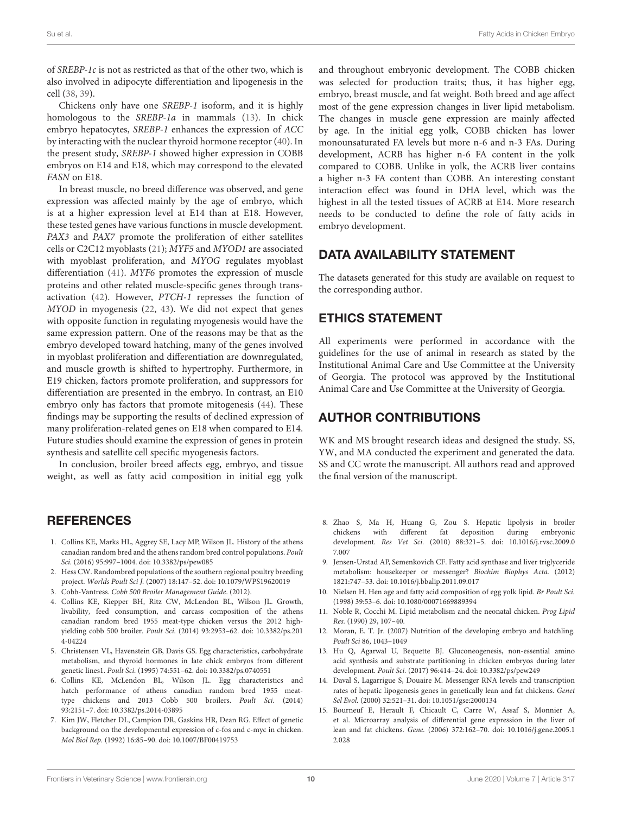of SREBP-1c is not as restricted as that of the other two, which is also involved in adipocyte differentiation and lipogenesis in the cell [\(38,](#page-10-22) [39\)](#page-10-23).

Chickens only have one SREBP-1 isoform, and it is highly homologous to the SREBP-1a in mammals [\(13\)](#page-9-12). In chick embryo hepatocytes, SREBP-1 enhances the expression of ACC by interacting with the nuclear thyroid hormone receptor [\(40\)](#page-10-24). In the present study, SREBP-1 showed higher expression in COBB embryos on E14 and E18, which may correspond to the elevated FASN on E18.

In breast muscle, no breed difference was observed, and gene expression was affected mainly by the age of embryo, which is at a higher expression level at E14 than at E18. However, these tested genes have various functions in muscle development. PAX3 and PAX7 promote the proliferation of either satellites cells or C2C12 myoblasts [\(21\)](#page-10-5); MYF5 and MYOD1 are associated with myoblast proliferation, and MYOG regulates myoblast differentiation [\(41\)](#page-10-25). MYF6 promotes the expression of muscle proteins and other related muscle-specific genes through transactivation [\(42\)](#page-10-26). However, PTCH-1 represses the function of MYOD in myogenesis [\(22,](#page-10-6) [43\)](#page-10-27). We did not expect that genes with opposite function in regulating myogenesis would have the same expression pattern. One of the reasons may be that as the embryo developed toward hatching, many of the genes involved in myoblast proliferation and differentiation are downregulated, and muscle growth is shifted to hypertrophy. Furthermore, in E19 chicken, factors promote proliferation, and suppressors for differentiation are presented in the embryo. In contrast, an E10 embryo only has factors that promote mitogenesis [\(44\)](#page-10-28). These findings may be supporting the results of declined expression of many proliferation-related genes on E18 when compared to E14. Future studies should examine the expression of genes in protein synthesis and satellite cell specific myogenesis factors.

In conclusion, broiler breed affects egg, embryo, and tissue weight, as well as fatty acid composition in initial egg yolk

## REFERENCES

- <span id="page-9-0"></span>1. Collins KE, Marks HL, Aggrey SE, Lacy MP, Wilson JL. History of the athens canadian random bred and the athens random bred control populations. Poult Sci. (2016) 95:997–1004. doi: [10.3382/ps/pew085](https://doi.org/10.3382/ps/pew085)
- <span id="page-9-1"></span>2. Hess CW. Randombred populations of the southern regional poultry breeding project. Worlds Poult Sci J. (2007) 18:147–52. doi: [10.1079/WPS19620019](https://doi.org/10.1079/WPS19620019)
- <span id="page-9-2"></span>3. Cobb-Vantress. Cobb 500 Broiler Management Guide. (2012).
- <span id="page-9-3"></span>4. Collins KE, Kiepper BH, Ritz CW, McLendon BL, Wilson JL. Growth, livability, feed consumption, and carcass composition of the athens canadian random bred 1955 meat-type chicken versus the 2012 highyielding cobb 500 broiler. Poult Sci[. \(2014\) 93:2953–62. doi: 10.3382/ps.201](https://doi.org/10.3382/ps.2014-04224) 4-04224
- <span id="page-9-4"></span>5. Christensen VL, Havenstein GB, Davis GS. Egg characteristics, carbohydrate metabolism, and thyroid hormones in late chick embryos from different genetic lines1. Poult Sci. (1995) 74:551–62. doi: [10.3382/ps.0740551](https://doi.org/10.3382/ps.0740551)
- <span id="page-9-5"></span>6. Collins KE, McLendon BL, Wilson JL. Egg characteristics and hatch performance of athens canadian random bred 1955 meattype chickens and 2013 Cobb 500 broilers. Poult Sci. (2014) 93:2151–7. doi: [10.3382/ps.2014-03895](https://doi.org/10.3382/ps.2014-03895)
- <span id="page-9-6"></span>7. Kim JW, Fletcher DL, Campion DR, Gaskins HR, Dean RG. Effect of genetic background on the developmental expression of c-fos and c-myc in chicken. Mol Biol Rep. (1992) 16:85–90. doi: [10.1007/BF00419753](https://doi.org/10.1007/BF00419753)

and throughout embryonic development. The COBB chicken was selected for production traits; thus, it has higher egg, embryo, breast muscle, and fat weight. Both breed and age affect most of the gene expression changes in liver lipid metabolism. The changes in muscle gene expression are mainly affected by age. In the initial egg yolk, COBB chicken has lower monounsaturated FA levels but more n-6 and n-3 FAs. During development, ACRB has higher n-6 FA content in the yolk compared to COBB. Unlike in yolk, the ACRB liver contains a higher n-3 FA content than COBB. An interesting constant interaction effect was found in DHA level, which was the highest in all the tested tissues of ACRB at E14. More research needs to be conducted to define the role of fatty acids in embryo development.

## DATA AVAILABILITY STATEMENT

The datasets generated for this study are available on request to the corresponding author.

## ETHICS STATEMENT

All experiments were performed in accordance with the guidelines for the use of animal in research as stated by the Institutional Animal Care and Use Committee at the University of Georgia. The protocol was approved by the Institutional Animal Care and Use Committee at the University of Georgia.

## AUTHOR CONTRIBUTIONS

WK and MS brought research ideas and designed the study. SS, YW, and MA conducted the experiment and generated the data. SS and CC wrote the manuscript. All authors read and approved the final version of the manuscript.

- <span id="page-9-7"></span>8. Zhao S, Ma H, Huang G, Zou S. Hepatic lipolysis in broiler chickens with different fat deposition during embryonic development. Res Vet Sci. [\(2010\) 88:321–5. doi: 10.1016/j.rvsc.2009.0](https://doi.org/10.1016/j.rvsc.2009.07.007) 7.007
- <span id="page-9-8"></span>9. Jensen-Urstad AP, Semenkovich CF. Fatty acid synthase and liver triglyceride metabolism: housekeeper or messenger? Biochim Biophys Acta. (2012) 1821:747–53. doi: [10.1016/j.bbalip.2011.09.017](https://doi.org/10.1016/j.bbalip.2011.09.017)
- <span id="page-9-9"></span>10. Nielsen H. Hen age and fatty acid composition of egg yolk lipid. Br Poult Sci. (1998) 39:53–6. doi: [10.1080/00071669889394](https://doi.org/10.1080/00071669889394)
- <span id="page-9-10"></span>11. Noble R, Cocchi M. Lipid metabolism and the neonatal chicken. Prog Lipid Res. (1990) 29, 107–40.
- <span id="page-9-11"></span>12. Moran, E. T. Jr. (2007) Nutrition of the developing embryo and hatchling. Poult Sci 86, 1043–1049
- <span id="page-9-12"></span>13. Hu Q, Agarwal U, Bequette BJ. Gluconeogenesis, non-essential amino acid synthesis and substrate partitioning in chicken embryos during later development. Poult Sci. (2017) 96:414–24. doi: [10.3382/ps/pew249](https://doi.org/10.3382/ps/pew249)
- <span id="page-9-13"></span>14. Daval S, Lagarrigue S, Douaire M. Messenger RNA levels and transcription rates of hepatic lipogenesis genes in genetically lean and fat chickens. Genet Sel Evol. (2000) 32:521–31. doi: [10.1051/gse:2000134](https://doi.org/10.1051/gse:2000134)
- 15. Bourneuf E, Herault F, Chicault C, Carre W, Assaf S, Monnier A, et al. Microarray analysis of differential gene expression in the liver of lean and fat chickens. Gene. [\(2006\) 372:162–70. doi: 10.1016/j.gene.2005.1](https://doi.org/10.1016/j.gene.2005.12.028) 2.028